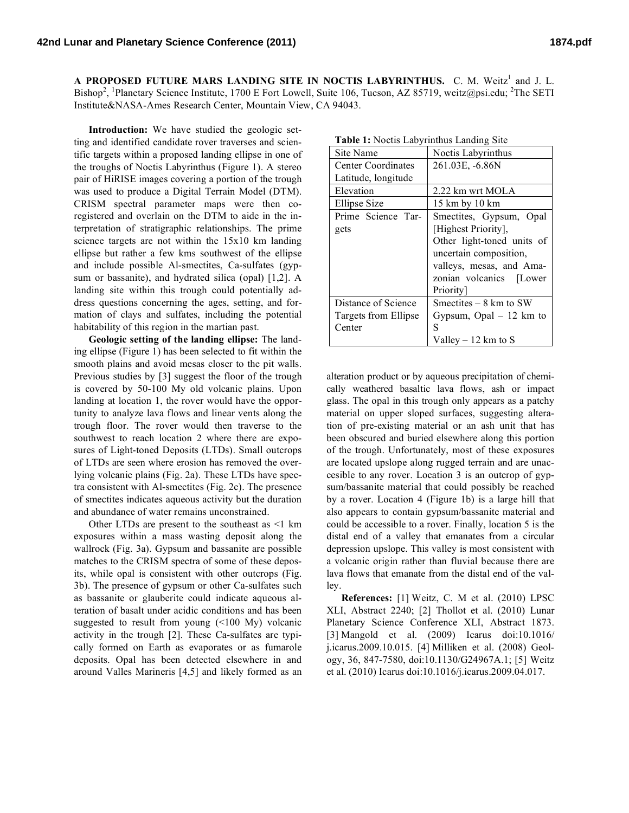A PROPOSED FUTURE MARS LANDING SITE IN NOCTIS LABYRINTHUS. C. M. Weitz<sup>1</sup> and J. L. Bishop<sup>2</sup>, <sup>1</sup>Planetary Science Institute, 1700 E Fort Lowell, Suite 106, Tucson, AZ 85719, weitz@psi.edu; <sup>2</sup>The SETI Institute&NASA-Ames Research Center, Mountain View, CA 94043.

**Introduction:** We have studied the geologic setting and identified candidate rover traverses and scientific targets within a proposed landing ellipse in one of the troughs of Noctis Labyrinthus (Figure 1). A stereo pair of HiRISE images covering a portion of the trough was used to produce a Digital Terrain Model (DTM). CRISM spectral parameter maps were then coregistered and overlain on the DTM to aide in the interpretation of stratigraphic relationships. The prime science targets are not within the 15x10 km landing ellipse but rather a few kms southwest of the ellipse and include possible Al-smectites, Ca-sulfates (gypsum or bassanite), and hydrated silica (opal) [1,2]. A landing site within this trough could potentially address questions concerning the ages, setting, and formation of clays and sulfates, including the potential habitability of this region in the martian past.

**Geologic setting of the landing ellipse:** The landing ellipse (Figure 1) has been selected to fit within the smooth plains and avoid mesas closer to the pit walls. Previous studies by [3] suggest the floor of the trough is covered by 50-100 My old volcanic plains. Upon landing at location 1, the rover would have the opportunity to analyze lava flows and linear vents along the trough floor. The rover would then traverse to the southwest to reach location 2 where there are exposures of Light-toned Deposits (LTDs). Small outcrops of LTDs are seen where erosion has removed the overlying volcanic plains (Fig. 2a). These LTDs have spectra consistent with Al-smectites (Fig. 2c). The presence of smectites indicates aqueous activity but the duration and abundance of water remains unconstrained.

Other LTDs are present to the southeast as <1 km exposures within a mass wasting deposit along the wallrock (Fig. 3a). Gypsum and bassanite are possible matches to the CRISM spectra of some of these deposits, while opal is consistent with other outcrops (Fig. 3b). The presence of gypsum or other Ca-sulfates such as bassanite or glauberite could indicate aqueous alteration of basalt under acidic conditions and has been suggested to result from young (<100 My) volcanic activity in the trough [2]. These Ca-sulfates are typically formed on Earth as evaporates or as fumarole deposits. Opal has been detected elsewhere in and around Valles Marineris [4,5] and likely formed as an

| <b>Table 1:</b> Noctis Labyrinthus Landing Site |                            |
|-------------------------------------------------|----------------------------|
| Site Name                                       | Noctis Labyrinthus         |
| Center Coordinates                              | 261.03E, -6.86N            |
| Latitude, longitude                             |                            |
| Elevation                                       | 2.22 km wrt MOLA           |
| <b>Ellipse Size</b>                             | 15 km by 10 km             |
| Prime Science Tar-                              | Smectites, Gypsum, Opal    |
| gets                                            | [Highest Priority],        |
|                                                 | Other light-toned units of |
|                                                 | uncertain composition,     |
|                                                 | valleys, mesas, and Ama-   |
|                                                 | zonian volcanics [Lower    |
|                                                 | Priority                   |
| Distance of Science                             | Smectites $-8$ km to SW    |
| Targets from Ellipse                            | Gypsum, Opal $-12$ km to   |
| Center                                          | S                          |
|                                                 | Valley $-12$ km to S       |

**Table 1:** Noctis Labyrinthus Landing Site

alteration product or by aqueous precipitation of chemically weathered basaltic lava flows, ash or impact glass. The opal in this trough only appears as a patchy material on upper sloped surfaces, suggesting alteration of pre-existing material or an ash unit that has been obscured and buried elsewhere along this portion of the trough. Unfortunately, most of these exposures are located upslope along rugged terrain and are unaccesible to any rover. Location 3 is an outcrop of gypsum/bassanite material that could possibly be reached by a rover. Location 4 (Figure 1b) is a large hill that also appears to contain gypsum/bassanite material and could be accessible to a rover. Finally, location 5 is the distal end of a valley that emanates from a circular depression upslope. This valley is most consistent with a volcanic origin rather than fluvial because there are lava flows that emanate from the distal end of the valley.

**References:** [1] Weitz, C. M et al. (2010) LPSC XLI, Abstract 2240; [2] Thollot et al. (2010) Lunar Planetary Science Conference XLI, Abstract 1873. [3] Mangold et al. (2009) Icarus doi:10.1016/ j.icarus.2009.10.015. [4] Milliken et al. (2008) Geology, 36, 847-7580, doi:10.1130/G24967A.1; [5] Weitz et al. (2010) Icarus doi:10.1016/j.icarus.2009.04.017.